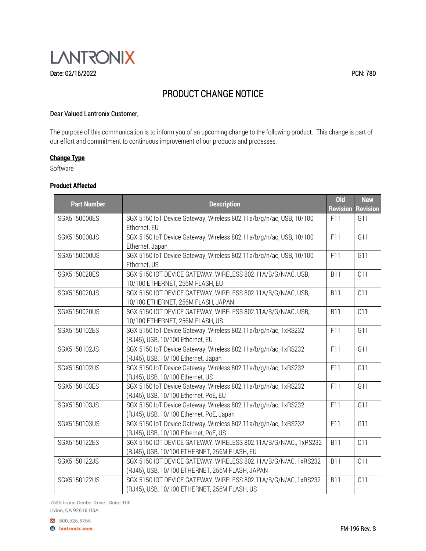

### Dear Valued Lantronix Customer,

The purpose of this communication is to inform you of an upcoming change to the following product. This change is part of our effort and commitment to continuous improvement of our products and processes.

# **Change Type**

Software

### **Product Affected**

| <b>Part Number</b> | <b>Description</b>                                                                                                 | <b>Old</b><br><b>Revision</b> | <b>New</b><br><b>Revision</b> |
|--------------------|--------------------------------------------------------------------------------------------------------------------|-------------------------------|-------------------------------|
| SGX5150000ES       | SGX 5150 IoT Device Gateway, Wireless 802.11a/b/g/n/ac, USB, 10/100<br>Ethernet, EU                                | F11                           | G11                           |
| SGX5150000JS       | SGX 5150 IoT Device Gateway, Wireless 802.11a/b/g/n/ac, USB, 10/100<br>Ethernet, Japan                             | F11                           | G11                           |
| SGX5150000US       | SGX 5150 IoT Device Gateway, Wireless 802.11a/b/q/n/ac, USB, 10/100<br>Ethernet, US                                | F11                           | G11                           |
| SGX5150020ES       | SGX 5150 IOT DEVICE GATEWAY, WIRELESS 802.11A/B/G/N/AC, USB,<br>10/100 ETHERNET, 256M FLASH, EU                    | <b>B11</b>                    | C11                           |
| SGX5150020JS       | SGX 5150 IOT DEVICE GATEWAY, WIRELESS 802.11A/B/G/N/AC, USB,<br>10/100 ETHERNET, 256M FLASH, JAPAN                 | <b>B11</b>                    | C11                           |
| SGX5150020US       | SGX 5150 IOT DEVICE GATEWAY, WIRELESS 802.11A/B/G/N/AC, USB,<br>10/100 ETHERNET, 256M FLASH, US                    | <b>B11</b>                    | C11                           |
| SGX5150102ES       | SGX 5150 IoT Device Gateway, Wireless 802.11a/b/g/n/ac, 1xRS232<br>(RJ45), USB, 10/100 Ethernet, EU                | F11                           | G11                           |
| SGX5150102JS       | SGX 5150 IoT Device Gateway, Wireless 802.11a/b/g/n/ac, 1xRS232<br>(RJ45), USB, 10/100 Ethernet, Japan             | F11                           | G11                           |
| SGX5150102US       | SGX 5150 IoT Device Gateway, Wireless 802.11a/b/g/n/ac, 1xRS232<br>(RJ45), USB, 10/100 Ethernet, US                | F11                           | G11                           |
| SGX5150103ES       | SGX 5150 IoT Device Gateway, Wireless 802.11a/b/q/n/ac, 1xRS232<br>(RJ45), USB, 10/100 Ethernet, PoE, EU           | F11                           | G11                           |
| SGX5150103JS       | SGX 5150 IoT Device Gateway, Wireless 802.11a/b/g/n/ac, 1xRS232<br>(RJ45), USB, 10/100 Ethernet, PoE, Japan        | F11                           | G11                           |
| SGX5150103US       | SGX 5150 IoT Device Gateway, Wireless 802.11a/b/g/n/ac, 1xRS232<br>(RJ45), USB, 10/100 Ethernet, PoE, US           | F11                           | G11                           |
| SGX5150122ES       | SGX 5150 IOT DEVICE GATEWAY, WIRELESS 802.11A/B/G/N/AC,, 1xRS232<br>(RJ45), USB, 10/100 ETHERNET, 256M FLASH, EU   | <b>B11</b>                    | C11                           |
| SGX5150122JS       | SGX 5150 IOT DEVICE GATEWAY, WIRELESS 802.11A/B/G/N/AC, 1xRS232<br>(RJ45), USB, 10/100 ETHERNET, 256M FLASH, JAPAN | <b>B11</b>                    | C11                           |
| SGX5150122US       | SGX 5150 IOT DEVICE GATEWAY, WIRELESS 802.11A/B/G/N/AC, 1xRS232<br>(RJ45), USB, 10/100 ETHERNET, 256M FLASH, US    | <b>B11</b>                    | C11                           |

7535 Irvine Center Drive | Suite 100 Irvine, CA 92618 USA

800.526.8766 **A** lantronix.com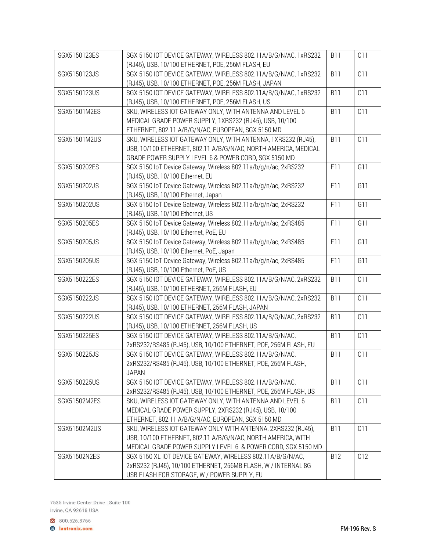| SGX5150123ES | SGX 5150 IOT DEVICE GATEWAY, WIRELESS 802.11A/B/G/N/AC, 1xRS232<br>(RJ45), USB, 10/100 ETHERNET, POE, 256M FLASH, EU                                                                         | <b>B11</b> | C11 |
|--------------|----------------------------------------------------------------------------------------------------------------------------------------------------------------------------------------------|------------|-----|
| SGX5150123JS | SGX 5150 IOT DEVICE GATEWAY, WIRELESS 802.11A/B/G/N/AC, 1xRS232                                                                                                                              | <b>B11</b> | C11 |
| SGX5150123US | (RJ45), USB, 10/100 ETHERNET, POE, 256M FLASH, JAPAN<br>SGX 5150 IOT DEVICE GATEWAY, WIRELESS 802.11A/B/G/N/AC, 1xRS232<br>(RJ45), USB, 10/100 ETHERNET, POE, 256M FLASH, US                 | <b>B11</b> | C11 |
| SGX51501M2ES | SKU, WIRELESS IOT GATEWAY ONLY, WITH ANTENNA AND LEVEL 6<br>MEDICAL GRADE POWER SUPPLY, 1XRS232 (RJ45), USB, 10/100                                                                          | <b>B11</b> | C11 |
| SGX51501M2US | ETHERNET, 802.11 A/B/G/N/AC, EUROPEAN, SGX 5150 MD<br>SKU, WIRELESS IOT GATEWAY ONLY, WITH ANTENNA, 1XRS232 (RJ45),                                                                          | <b>B11</b> | C11 |
|              | USB, 10/100 ETHERNET, 802.11 A/B/G/N/AC, NORTH AMERICA, MEDICAL<br>GRADE POWER SUPPLY LEVEL 6 & POWER CORD, SGX 5150 MD                                                                      |            |     |
| SGX5150202ES | SGX 5150 IoT Device Gateway, Wireless 802.11a/b/g/n/ac, 2xRS232<br>(RJ45), USB, 10/100 Ethernet, EU                                                                                          | F11        | G11 |
| SGX5150202JS | SGX 5150 IoT Device Gateway, Wireless 802.11a/b/g/n/ac, 2xRS232<br>(RJ45), USB, 10/100 Ethernet, Japan                                                                                       | F11        | G11 |
| SGX5150202US | SGX 5150 IoT Device Gateway, Wireless 802.11a/b/g/n/ac, 2xRS232<br>(RJ45), USB, 10/100 Ethernet, US                                                                                          | F11        | G11 |
| SGX5150205ES | SGX 5150 IoT Device Gateway, Wireless 802.11a/b/g/n/ac, 2xRS485<br>(RJ45), USB, 10/100 Ethernet, PoE, EU                                                                                     | F11        | G11 |
| SGX5150205JS | SGX 5150 IoT Device Gateway, Wireless 802.11a/b/g/n/ac, 2xRS485<br>(RJ45), USB, 10/100 Ethernet, PoE, Japan                                                                                  | F11        | G11 |
| SGX5150205US | SGX 5150 IoT Device Gateway, Wireless 802.11a/b/g/n/ac, 2xRS485<br>(RJ45), USB, 10/100 Ethernet, PoE, US                                                                                     | F11        | G11 |
| SGX5150222ES | SGX 5150 IOT DEVICE GATEWAY, WIRELESS 802.11A/B/G/N/AC, 2xRS232<br>(RJ45), USB, 10/100 ETHERNET, 256M FLASH, EU                                                                              | <b>B11</b> | C11 |
| SGX5150222JS | SGX 5150 IOT DEVICE GATEWAY, WIRELESS 802.11A/B/G/N/AC, 2xRS232<br>(RJ45), USB, 10/100 ETHERNET, 256M FLASH, JAPAN                                                                           | <b>B11</b> | C11 |
| SGX5150222US | SGX 5150 IOT DEVICE GATEWAY, WIRELESS 802.11A/B/G/N/AC, 2xRS232<br>(RJ45), USB, 10/100 ETHERNET, 256M FLASH, US                                                                              | <b>B11</b> | C11 |
| SGX5150225ES | SGX 5150 IOT DEVICE GATEWAY, WIRELESS 802.11A/B/G/N/AC,<br>2xRS232/RS485 (RJ45), USB, 10/100 ETHERNET, POE, 256M FLASH, EU                                                                   | <b>B11</b> | C11 |
| SGX5150225JS | SGX 5150 IOT DEVICE GATEWAY, WIRELESS 802.11A/B/G/N/AC,<br>2xRS232/RS485 (RJ45), USB, 10/100 ETHERNET, POE, 256M FLASH,<br><b>JAPAN</b>                                                      | <b>B11</b> | C11 |
| SGX5150225US | SGX 5150 IOT DEVICE GATEWAY, WIRELESS 802.11A/B/G/N/AC,<br>2xRS232/RS485 (RJ45), USB, 10/100 ETHERNET, POE, 256M FLASH, US                                                                   | <b>B11</b> | C11 |
| SGX51502M2ES | SKU, WIRELESS IOT GATEWAY ONLY, WITH ANTENNA AND LEVEL 6<br>MEDICAL GRADE POWER SUPPLY, 2XRS232 (RJ45), USB, 10/100<br>ETHERNET, 802.11 A/B/G/N/AC, EUROPEAN, SGX 5150 MD                    | <b>B11</b> | C11 |
| SGX51502M2US | SKU, WIRELESS IOT GATEWAY ONLY WITH ANTENNA, 2XRS232 (RJ45),<br>USB, 10/100 ETHERNET, 802.11 A/B/G/N/AC, NORTH AMERICA, WITH<br>MEDICAL GRADE POWER SUPPLY LEVEL 6 & POWER CORD, SGX 5150 MD | <b>B11</b> | C11 |
| SGX51502N2ES | SGX 5150 XL IOT DEVICE GATEWAY, WIRELESS 802.11A/B/G/N/AC,<br>2xRS232 (RJ45), 10/100 ETHERNET, 256MB FLASH, W / INTERNAL 8G<br>USB FLASH FOR STORAGE, W / POWER SUPPLY, EU                   | <b>B12</b> | C12 |

7535 Irvine Center Drive | Suite 100 Irvine, CA 92618 USA

800.526.8766